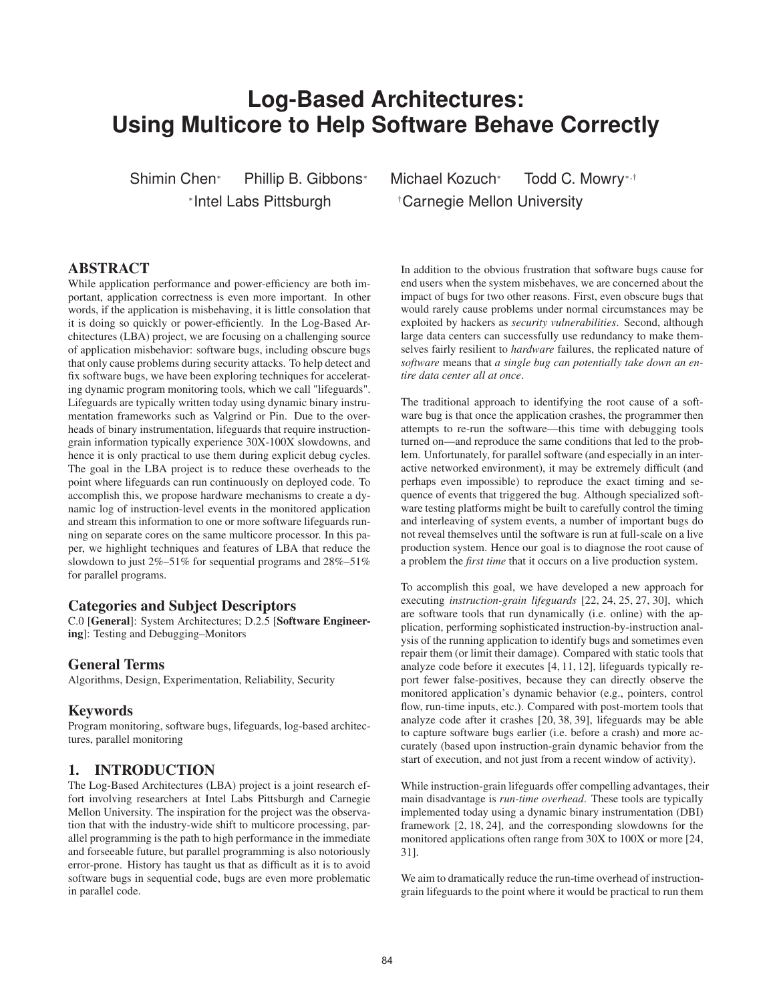# **Log-Based Architectures: Using Multicore to Help Software Behave Correctly**

### ABSTRACT

While application performance and power-efficiency are both important, application correctness is even more important. In other words, if the application is misbehaving, it is little consolation that it is doing so quickly or power-efficiently. In the Log-Based Architectures (LBA) project, we are focusing on a challenging source of application misbehavior: software bugs, including obscure bugs that only cause problems during security attacks. To help detect and fix software bugs, we have been exploring techniques for accelerating dynamic program monitoring tools, which we call "lifeguards". Lifeguards are typically written today using dynamic binary instrumentation frameworks such as Valgrind or Pin. Due to the overheads of binary instrumentation, lifeguards that require instructiongrain information typically experience 30X-100X slowdowns, and hence it is only practical to use them during explicit debug cycles. The goal in the LBA project is to reduce these overheads to the point where lifeguards can run continuously on deployed code. To accomplish this, we propose hardware mechanisms to create a dynamic log of instruction-level events in the monitored application and stream this information to one or more software lifeguards running on separate cores on the same multicore processor. In this paper, we highlight techniques and features of LBA that reduce the slowdown to just 2%–51% for sequential programs and 28%–51% for parallel programs.

#### Categories and Subject Descriptors

C.0 [General]: System Architectures; D.2.5 [Software Engineering]: Testing and Debugging–Monitors

#### General Terms

Algorithms, Design, Experimentation, Reliability, Security

#### Keywords

Program monitoring, software bugs, lifeguards, log-based architectures, parallel monitoring

### 1. INTRODUCTION

The Log-Based Architectures (LBA) project is a joint research effort involving researchers at Intel Labs Pittsburgh and Carnegie Mellon University. The inspiration for the project was the observation that with the industry-wide shift to multicore processing, parallel programming is the path to high performance in the immediate and forseeable future, but parallel programming is also notoriously error-prone. History has taught us that as difficult as it is to avoid software bugs in sequential code, bugs are even more problematic in parallel code.

Shimin Chen<sup>∗</sup> Phillip B. Gibbons<sup>∗</sup> Michael Kozuch<sup>∗</sup> Todd C. Mowry∗,† <sup>∗</sup>Intel Labs Pittsburgh †Carnegie Mellon University

> In addition to the obvious frustration that software bugs cause for end users when the system misbehaves, we are concerned about the impact of bugs for two other reasons. First, even obscure bugs that would rarely cause problems under normal circumstances may be exploited by hackers as *security vulnerabilities*. Second, although large data centers can successfully use redundancy to make themselves fairly resilient to *hardware* failures, the replicated nature of *software* means that *a single bug can potentially take down an entire data center all at once*.

> The traditional approach to identifying the root cause of a software bug is that once the application crashes, the programmer then attempts to re-run the software—this time with debugging tools turned on—and reproduce the same conditions that led to the problem. Unfortunately, for parallel software (and especially in an interactive networked environment), it may be extremely difficult (and perhaps even impossible) to reproduce the exact timing and sequence of events that triggered the bug. Although specialized software testing platforms might be built to carefully control the timing and interleaving of system events, a number of important bugs do not reveal themselves until the software is run at full-scale on a live production system. Hence our goal is to diagnose the root cause of a problem the *first time* that it occurs on a live production system.

> To accomplish this goal, we have developed a new approach for executing *instruction-grain lifeguards* [22, 24, 25, 27, 30], which are software tools that run dynamically (i.e. online) with the application, performing sophisticated instruction-by-instruction analysis of the running application to identify bugs and sometimes even repair them (or limit their damage). Compared with static tools that analyze code before it executes [4, 11, 12], lifeguards typically report fewer false-positives, because they can directly observe the monitored application's dynamic behavior (e.g., pointers, control flow, run-time inputs, etc.). Compared with post-mortem tools that analyze code after it crashes [20, 38, 39], lifeguards may be able to capture software bugs earlier (i.e. before a crash) and more accurately (based upon instruction-grain dynamic behavior from the start of execution, and not just from a recent window of activity).

While instruction-grain lifeguards offer compelling advantages, their main disadvantage is *run-time overhead*. These tools are typically implemented today using a dynamic binary instrumentation (DBI) framework [2, 18, 24], and the corresponding slowdowns for the monitored applications often range from 30X to 100X or more [24, 31].

We aim to dramatically reduce the run-time overhead of instructiongrain lifeguards to the point where it would be practical to run them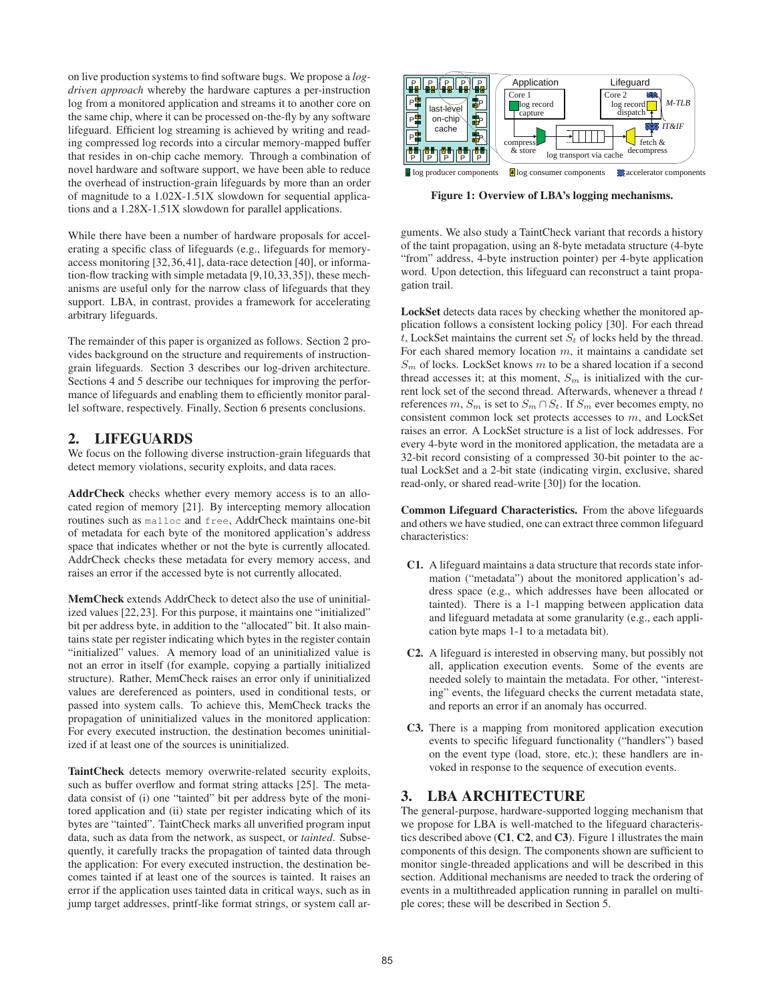on live production systems to find software bugs. We propose a *logdriven approach* whereby the hardware captures a per-instruction log from a monitored application and streams it to another core on the same chip, where it can be processed on-the-fly by any software lifeguard. Efficient log streaming is achieved by writing and reading compressed log records into a circular memory-mapped buffer that resides in on-chip cache memory. Through a combination of novel hardware and software support, we have been able to reduce the overhead of instruction-grain lifeguards by more than an order of magnitude to a 1.02X-1.51X slowdown for sequential applications and a 1.28X-1.51X slowdown for parallel applications.

While there have been a number of hardware proposals for accelerating a specific class of lifeguards (e.g., lifeguards for memoryaccess monitoring [32,36,41], data-race detection [40], or information-flow tracking with simple metadata [9,10,33,35]), these mechanisms are useful only for the narrow class of lifeguards that they support. LBA, in contrast, provides a framework for accelerating arbitrary lifeguards.

The remainder of this paper is organized as follows. Section 2 provides background on the structure and requirements of instructiongrain lifeguards. Section 3 describes our log-driven architecture. Sections 4 and 5 describe our techniques for improving the performance of lifeguards and enabling them to efficiently monitor parallel software, respectively. Finally, Section 6 presents conclusions.

## 2. LIFEGUARDS

We focus on the following diverse instruction-grain lifeguards that detect memory violations, security exploits, and data races.

AddrCheck checks whether every memory access is to an allocated region of memory [21]. By intercepting memory allocation routines such as malloc and free, AddrCheck maintains one-bit of metadata for each byte of the monitored application's address space that indicates whether or not the byte is currently allocated. AddrCheck checks these metadata for every memory access, and raises an error if the accessed byte is not currently allocated.

MemCheck extends AddrCheck to detect also the use of uninitialized values [22, 23]. For this purpose, it maintains one "initialized" bit per address byte, in addition to the "allocated" bit. It also maintains state per register indicating which bytes in the register contain "initialized" values. A memory load of an uninitialized value is not an error in itself (for example, copying a partially initialized structure). Rather, MemCheck raises an error only if uninitialized values are dereferenced as pointers, used in conditional tests, or passed into system calls. To achieve this, MemCheck tracks the propagation of uninitialized values in the monitored application: For every executed instruction, the destination becomes uninitialized if at least one of the sources is uninitialized.

TaintCheck detects memory overwrite-related security exploits, such as buffer overflow and format string attacks [25]. The metadata consist of (i) one "tainted" bit per address byte of the monitored application and (ii) state per register indicating which of its bytes are "tainted". TaintCheck marks all unverified program input data, such as data from the network, as suspect, or *tainted*. Subsequently, it carefully tracks the propagation of tainted data through the application: For every executed instruction, the destination becomes tainted if at least one of the sources is tainted. It raises an error if the application uses tainted data in critical ways, such as in jump target addresses, printf-like format strings, or system call ar-



Figure 1: Overview of LBA's logging mechanisms.

guments. We also study a TaintCheck variant that records a history of the taint propagation, using an 8-byte metadata structure (4-byte "from" address, 4-byte instruction pointer) per 4-byte application word. Upon detection, this lifeguard can reconstruct a taint propagation trail.

LockSet detects data races by checking whether the monitored application follows a consistent locking policy [30]. For each thread t, LockSet maintains the current set  $S_t$  of locks held by the thread. For each shared memory location  $m$ , it maintains a candidate set  $S<sub>m</sub>$  of locks. LockSet knows m to be a shared location if a second thread accesses it; at this moment,  $S_m$  is initialized with the current lock set of the second thread. Afterwards, whenever a thread  $t$ references  $m$ ,  $S_m$  is set to  $S_m \cap S_t$ . If  $S_m$  ever becomes empty, no consistent common lock set protects accesses to m, and LockSet raises an error. A LockSet structure is a list of lock addresses. For every 4-byte word in the monitored application, the metadata are a 32-bit record consisting of a compressed 30-bit pointer to the actual LockSet and a 2-bit state (indicating virgin, exclusive, shared read-only, or shared read-write [30]) for the location.

Common Lifeguard Characteristics. From the above lifeguards and others we have studied, one can extract three common lifeguard characteristics:

- C1. A lifeguard maintains a data structure that records state information ("metadata") about the monitored application's address space (e.g., which addresses have been allocated or tainted). There is a 1-1 mapping between application data and lifeguard metadata at some granularity (e.g., each application byte maps 1-1 to a metadata bit).
- C2. A lifeguard is interested in observing many, but possibly not all, application execution events. Some of the events are needed solely to maintain the metadata. For other, "interesting" events, the lifeguard checks the current metadata state, and reports an error if an anomaly has occurred.
- C3. There is a mapping from monitored application execution events to specific lifeguard functionality ("handlers") based on the event type (load, store, etc.); these handlers are invoked in response to the sequence of execution events.

# 3. LBA ARCHITECTURE

The general-purpose, hardware-supported logging mechanism that we propose for LBA is well-matched to the lifeguard characteristics described above  $(C1, C2, and C3)$ . Figure 1 illustrates the main components of this design. The components shown are sufficient to monitor single-threaded applications and will be described in this section. Additional mechanisms are needed to track the ordering of events in a multithreaded application running in parallel on multiple cores; these will be described in Section 5.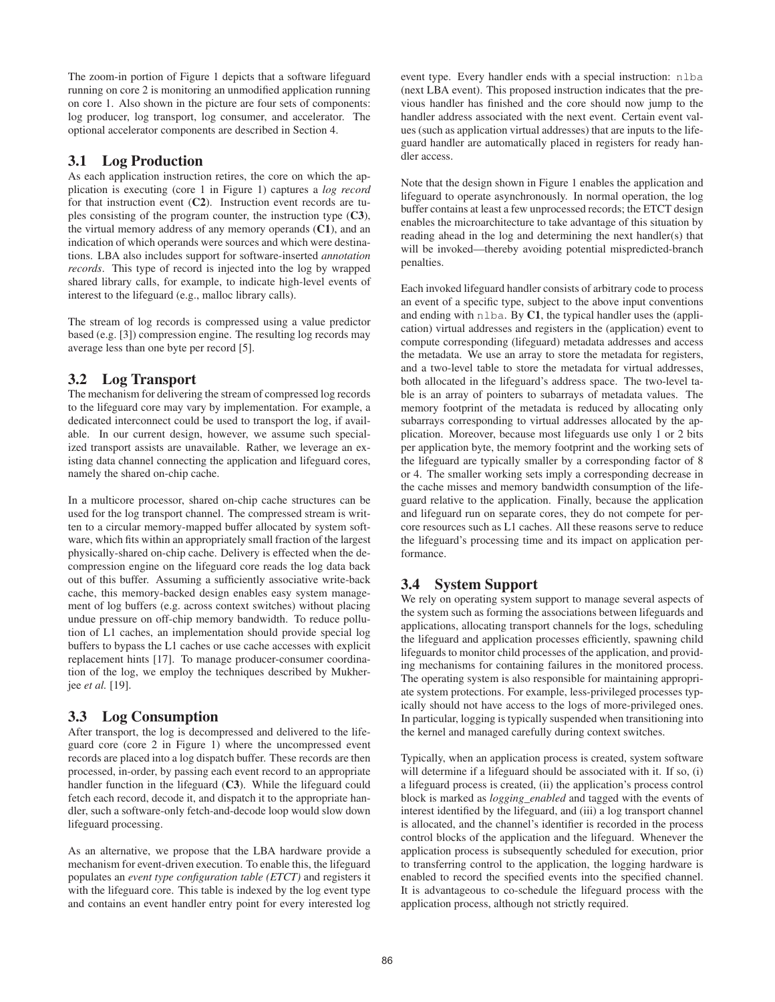The zoom-in portion of Figure 1 depicts that a software lifeguard running on core 2 is monitoring an unmodified application running on core 1. Also shown in the picture are four sets of components: log producer, log transport, log consumer, and accelerator. The optional accelerator components are described in Section 4.

### 3.1 Log Production

As each application instruction retires, the core on which the application is executing (core 1 in Figure 1) captures a *log record* for that instruction event (C2). Instruction event records are tuples consisting of the program counter, the instruction type (C3), the virtual memory address of any memory operands (C1), and an indication of which operands were sources and which were destinations. LBA also includes support for software-inserted *annotation records*. This type of record is injected into the log by wrapped shared library calls, for example, to indicate high-level events of interest to the lifeguard (e.g., malloc library calls).

The stream of log records is compressed using a value predictor based (e.g. [3]) compression engine. The resulting log records may average less than one byte per record [5].

### 3.2 Log Transport

The mechanism for delivering the stream of compressed log records to the lifeguard core may vary by implementation. For example, a dedicated interconnect could be used to transport the log, if available. In our current design, however, we assume such specialized transport assists are unavailable. Rather, we leverage an existing data channel connecting the application and lifeguard cores, namely the shared on-chip cache.

In a multicore processor, shared on-chip cache structures can be used for the log transport channel. The compressed stream is written to a circular memory-mapped buffer allocated by system software, which fits within an appropriately small fraction of the largest physically-shared on-chip cache. Delivery is effected when the decompression engine on the lifeguard core reads the log data back out of this buffer. Assuming a sufficiently associative write-back cache, this memory-backed design enables easy system management of log buffers (e.g. across context switches) without placing undue pressure on off-chip memory bandwidth. To reduce pollution of L1 caches, an implementation should provide special log buffers to bypass the L1 caches or use cache accesses with explicit replacement hints [17]. To manage producer-consumer coordination of the log, we employ the techniques described by Mukherjee *et al.* [19].

### 3.3 Log Consumption

After transport, the log is decompressed and delivered to the lifeguard core (core 2 in Figure 1) where the uncompressed event records are placed into a log dispatch buffer. These records are then processed, in-order, by passing each event record to an appropriate handler function in the lifeguard (C3). While the lifeguard could fetch each record, decode it, and dispatch it to the appropriate handler, such a software-only fetch-and-decode loop would slow down lifeguard processing.

As an alternative, we propose that the LBA hardware provide a mechanism for event-driven execution. To enable this, the lifeguard populates an *event type configuration table (ETCT)* and registers it with the lifeguard core. This table is indexed by the log event type and contains an event handler entry point for every interested log event type. Every handler ends with a special instruction: nlba (next LBA event). This proposed instruction indicates that the previous handler has finished and the core should now jump to the handler address associated with the next event. Certain event values (such as application virtual addresses) that are inputs to the lifeguard handler are automatically placed in registers for ready handler access.

Note that the design shown in Figure 1 enables the application and lifeguard to operate asynchronously. In normal operation, the log buffer contains at least a few unprocessed records; the ETCT design enables the microarchitecture to take advantage of this situation by reading ahead in the log and determining the next handler(s) that will be invoked—thereby avoiding potential mispredicted-branch penalties.

Each invoked lifeguard handler consists of arbitrary code to process an event of a specific type, subject to the above input conventions and ending with nlba. By C1, the typical handler uses the (application) virtual addresses and registers in the (application) event to compute corresponding (lifeguard) metadata addresses and access the metadata. We use an array to store the metadata for registers, and a two-level table to store the metadata for virtual addresses, both allocated in the lifeguard's address space. The two-level table is an array of pointers to subarrays of metadata values. The memory footprint of the metadata is reduced by allocating only subarrays corresponding to virtual addresses allocated by the application. Moreover, because most lifeguards use only 1 or 2 bits per application byte, the memory footprint and the working sets of the lifeguard are typically smaller by a corresponding factor of 8 or 4. The smaller working sets imply a corresponding decrease in the cache misses and memory bandwidth consumption of the lifeguard relative to the application. Finally, because the application and lifeguard run on separate cores, they do not compete for percore resources such as L1 caches. All these reasons serve to reduce the lifeguard's processing time and its impact on application performance.

# 3.4 System Support

We rely on operating system support to manage several aspects of the system such as forming the associations between lifeguards and applications, allocating transport channels for the logs, scheduling the lifeguard and application processes efficiently, spawning child lifeguards to monitor child processes of the application, and providing mechanisms for containing failures in the monitored process. The operating system is also responsible for maintaining appropriate system protections. For example, less-privileged processes typically should not have access to the logs of more-privileged ones. In particular, logging is typically suspended when transitioning into the kernel and managed carefully during context switches.

Typically, when an application process is created, system software will determine if a lifeguard should be associated with it. If so, (i) a lifeguard process is created, (ii) the application's process control block is marked as *logging\_enabled* and tagged with the events of interest identified by the lifeguard, and (iii) a log transport channel is allocated, and the channel's identifier is recorded in the process control blocks of the application and the lifeguard. Whenever the application process is subsequently scheduled for execution, prior to transferring control to the application, the logging hardware is enabled to record the specified events into the specified channel. It is advantageous to co-schedule the lifeguard process with the application process, although not strictly required.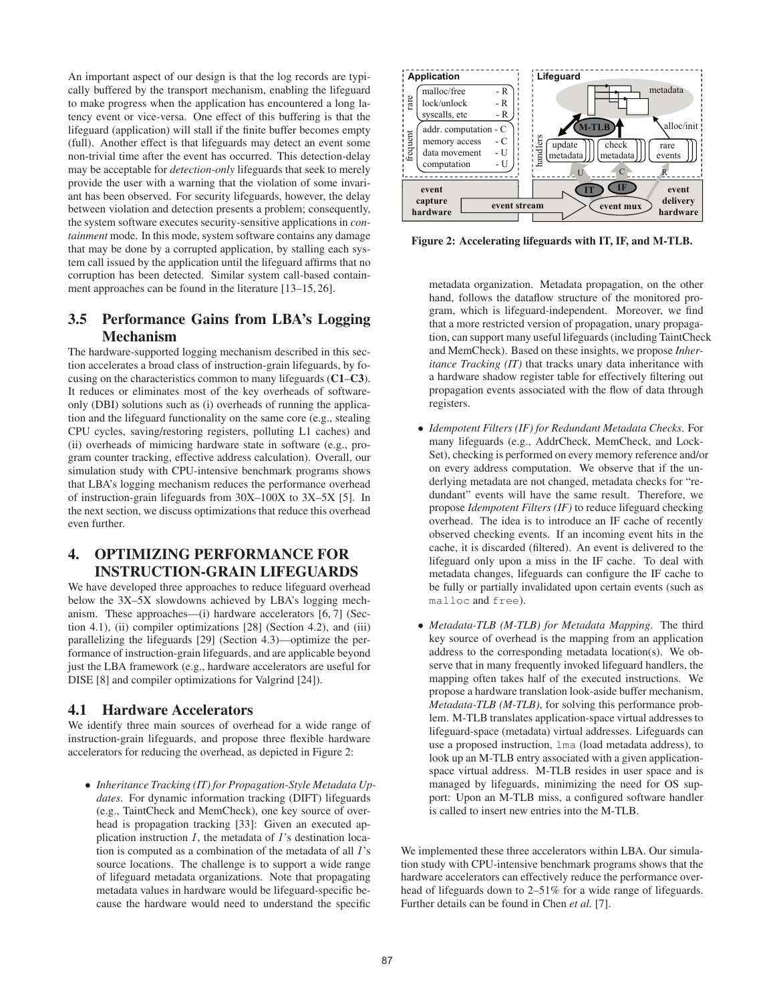An important aspect of our design is that the log records are typically buffered by the transport mechanism, enabling the lifeguard to make progress when the application has encountered a long latency event or vice-versa. One effect of this buffering is that the lifeguard (application) will stall if the finite buffer becomes empty (full). Another effect is that lifeguards may detect an event some non-trivial time after the event has occurred. This detection-delay may be acceptable for *detection-only* lifeguards that seek to merely provide the user with a warning that the violation of some invariant has been observed. For security lifeguards, however, the delay between violation and detection presents a problem; consequently, the system software executes security-sensitive applications in *containment* mode. In this mode, system software contains any damage that may be done by a corrupted application, by stalling each system call issued by the application until the lifeguard affirms that no corruption has been detected. Similar system call-based containment approaches can be found in the literature [13–15, 26].

# 3.5 Performance Gains from LBA's Logging Mechanism

The hardware-supported logging mechanism described in this section accelerates a broad class of instruction-grain lifeguards, by focusing on the characteristics common to many lifeguards (C1–C3). It reduces or eliminates most of the key overheads of softwareonly (DBI) solutions such as (i) overheads of running the application and the lifeguard functionality on the same core (e.g., stealing CPU cycles, saving/restoring registers, polluting L1 caches) and (ii) overheads of mimicing hardware state in software (e.g., program counter tracking, effective address calculation). Overall, our simulation study with CPU-intensive benchmark programs shows that LBA's logging mechanism reduces the performance overhead of instruction-grain lifeguards from 30X–100X to 3X–5X [5]. In the next section, we discuss optimizations that reduce this overhead even further.

## 4. OPTIMIZING PERFORMANCE FOR INSTRUCTION-GRAIN LIFEGUARDS

We have developed three approaches to reduce lifeguard overhead below the 3X–5X slowdowns achieved by LBA's logging mechanism. These approaches—(i) hardware accelerators [6, 7] (Section 4.1), (ii) compiler optimizations [28] (Section 4.2), and (iii) parallelizing the lifeguards [29] (Section 4.3)—optimize the performance of instruction-grain lifeguards, and are applicable beyond just the LBA framework (e.g., hardware accelerators are useful for DISE [8] and compiler optimizations for Valgrind [24]).

### 4.1 Hardware Accelerators

We identify three main sources of overhead for a wide range of instruction-grain lifeguards, and propose three flexible hardware accelerators for reducing the overhead, as depicted in Figure 2:

• *Inheritance Tracking (IT) for Propagation-Style Metadata Updates*. For dynamic information tracking (DIFT) lifeguards (e.g., TaintCheck and MemCheck), one key source of overhead is propagation tracking [33]: Given an executed application instruction  $I$ , the metadata of  $I$ 's destination location is computed as a combination of the metadata of all I's source locations. The challenge is to support a wide range of lifeguard metadata organizations. Note that propagating metadata values in hardware would be lifeguard-specific because the hardware would need to understand the specific



Figure 2: Accelerating lifeguards with IT, IF, and M-TLB.

metadata organization. Metadata propagation, on the other hand, follows the dataflow structure of the monitored program, which is lifeguard-independent. Moreover, we find that a more restricted version of propagation, unary propagation, can support many useful lifeguards (including TaintCheck and MemCheck). Based on these insights, we propose *Inheritance Tracking (IT)* that tracks unary data inheritance with a hardware shadow register table for effectively filtering out propagation events associated with the flow of data through registers.

- *Idempotent Filters (IF) for Redundant Metadata Checks*. For many lifeguards (e.g., AddrCheck, MemCheck, and Lock-Set), checking is performed on every memory reference and/or on every address computation. We observe that if the underlying metadata are not changed, metadata checks for "redundant" events will have the same result. Therefore, we propose *Idempotent Filters (IF)* to reduce lifeguard checking overhead. The idea is to introduce an IF cache of recently observed checking events. If an incoming event hits in the cache, it is discarded (filtered). An event is delivered to the lifeguard only upon a miss in the IF cache. To deal with metadata changes, lifeguards can configure the IF cache to be fully or partially invalidated upon certain events (such as malloc and free).
- *Metadata-TLB (M-TLB) for Metadata Mapping*. The third key source of overhead is the mapping from an application address to the corresponding metadata location(s). We observe that in many frequently invoked lifeguard handlers, the mapping often takes half of the executed instructions. We propose a hardware translation look-aside buffer mechanism, *Metadata-TLB (M-TLB)*, for solving this performance problem. M-TLB translates application-space virtual addresses to lifeguard-space (metadata) virtual addresses. Lifeguards can use a proposed instruction, lma (load metadata address), to look up an M-TLB entry associated with a given applicationspace virtual address. M-TLB resides in user space and is managed by lifeguards, minimizing the need for OS support: Upon an M-TLB miss, a configured software handler is called to insert new entries into the M-TLB.

We implemented these three accelerators within LBA. Our simulation study with CPU-intensive benchmark programs shows that the hardware accelerators can effectively reduce the performance overhead of lifeguards down to 2–51% for a wide range of lifeguards. Further details can be found in Chen *et al.* [7].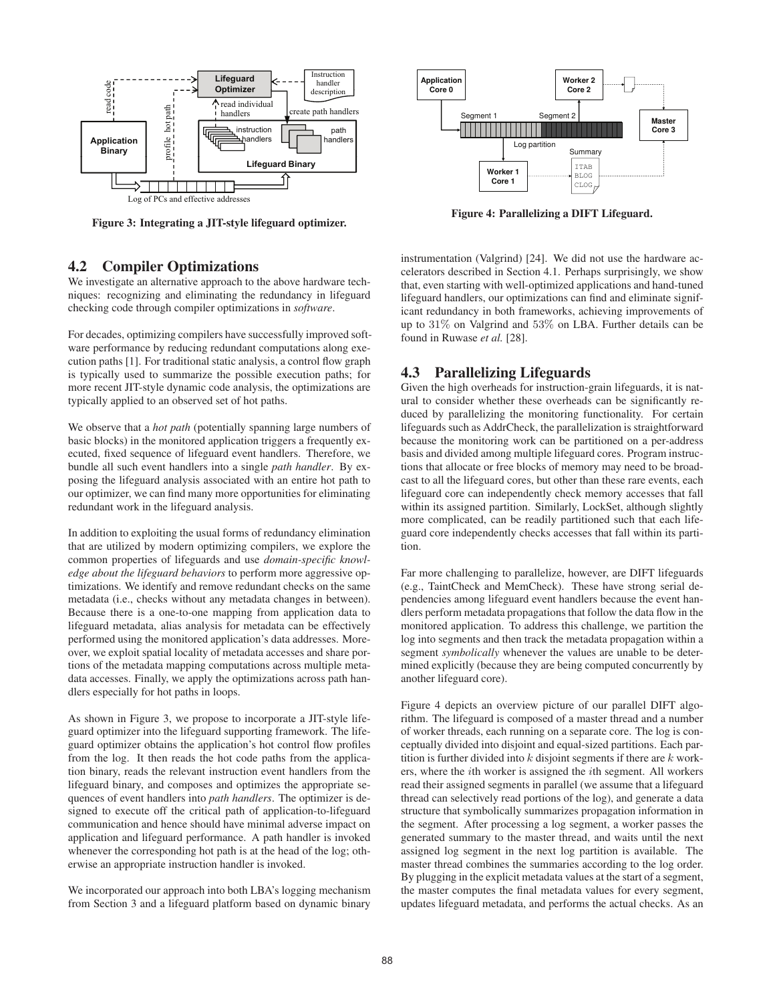

Figure 3: Integrating a JIT-style lifeguard optimizer.

### 4.2 Compiler Optimizations

We investigate an alternative approach to the above hardware techniques: recognizing and eliminating the redundancy in lifeguard checking code through compiler optimizations in *software*.

For decades, optimizing compilers have successfully improved software performance by reducing redundant computations along execution paths [1]. For traditional static analysis, a control flow graph is typically used to summarize the possible execution paths; for more recent JIT-style dynamic code analysis, the optimizations are typically applied to an observed set of hot paths.

We observe that a *hot path* (potentially spanning large numbers of basic blocks) in the monitored application triggers a frequently executed, fixed sequence of lifeguard event handlers. Therefore, we bundle all such event handlers into a single *path handler*. By exposing the lifeguard analysis associated with an entire hot path to our optimizer, we can find many more opportunities for eliminating redundant work in the lifeguard analysis.

In addition to exploiting the usual forms of redundancy elimination that are utilized by modern optimizing compilers, we explore the common properties of lifeguards and use *domain-specific knowledge about the lifeguard behaviors* to perform more aggressive optimizations. We identify and remove redundant checks on the same metadata (i.e., checks without any metadata changes in between). Because there is a one-to-one mapping from application data to lifeguard metadata, alias analysis for metadata can be effectively performed using the monitored application's data addresses. Moreover, we exploit spatial locality of metadata accesses and share portions of the metadata mapping computations across multiple metadata accesses. Finally, we apply the optimizations across path handlers especially for hot paths in loops.

As shown in Figure 3, we propose to incorporate a JIT-style lifeguard optimizer into the lifeguard supporting framework. The lifeguard optimizer obtains the application's hot control flow profiles from the log. It then reads the hot code paths from the application binary, reads the relevant instruction event handlers from the lifeguard binary, and composes and optimizes the appropriate sequences of event handlers into *path handlers*. The optimizer is designed to execute off the critical path of application-to-lifeguard communication and hence should have minimal adverse impact on application and lifeguard performance. A path handler is invoked whenever the corresponding hot path is at the head of the log; otherwise an appropriate instruction handler is invoked.

We incorporated our approach into both LBA's logging mechanism from Section 3 and a lifeguard platform based on dynamic binary



Figure 4: Parallelizing a DIFT Lifeguard.

instrumentation (Valgrind) [24]. We did not use the hardware accelerators described in Section 4.1. Perhaps surprisingly, we show that, even starting with well-optimized applications and hand-tuned lifeguard handlers, our optimizations can find and eliminate significant redundancy in both frameworks, achieving improvements of up to 31% on Valgrind and 53% on LBA. Further details can be found in Ruwase *et al.* [28].

#### 4.3 Parallelizing Lifeguards

Given the high overheads for instruction-grain lifeguards, it is natural to consider whether these overheads can be significantly reduced by parallelizing the monitoring functionality. For certain lifeguards such as AddrCheck, the parallelization is straightforward because the monitoring work can be partitioned on a per-address basis and divided among multiple lifeguard cores. Program instructions that allocate or free blocks of memory may need to be broadcast to all the lifeguard cores, but other than these rare events, each lifeguard core can independently check memory accesses that fall within its assigned partition. Similarly, LockSet, although slightly more complicated, can be readily partitioned such that each lifeguard core independently checks accesses that fall within its partition.

Far more challenging to parallelize, however, are DIFT lifeguards (e.g., TaintCheck and MemCheck). These have strong serial dependencies among lifeguard event handlers because the event handlers perform metadata propagations that follow the data flow in the monitored application. To address this challenge, we partition the log into segments and then track the metadata propagation within a segment *symbolically* whenever the values are unable to be determined explicitly (because they are being computed concurrently by another lifeguard core).

Figure 4 depicts an overview picture of our parallel DIFT algorithm. The lifeguard is composed of a master thread and a number of worker threads, each running on a separate core. The log is conceptually divided into disjoint and equal-sized partitions. Each partition is further divided into  $k$  disjoint segments if there are  $k$  workers, where the ith worker is assigned the ith segment. All workers read their assigned segments in parallel (we assume that a lifeguard thread can selectively read portions of the log), and generate a data structure that symbolically summarizes propagation information in the segment. After processing a log segment, a worker passes the generated summary to the master thread, and waits until the next assigned log segment in the next log partition is available. The master thread combines the summaries according to the log order. By plugging in the explicit metadata values at the start of a segment, the master computes the final metadata values for every segment, updates lifeguard metadata, and performs the actual checks. As an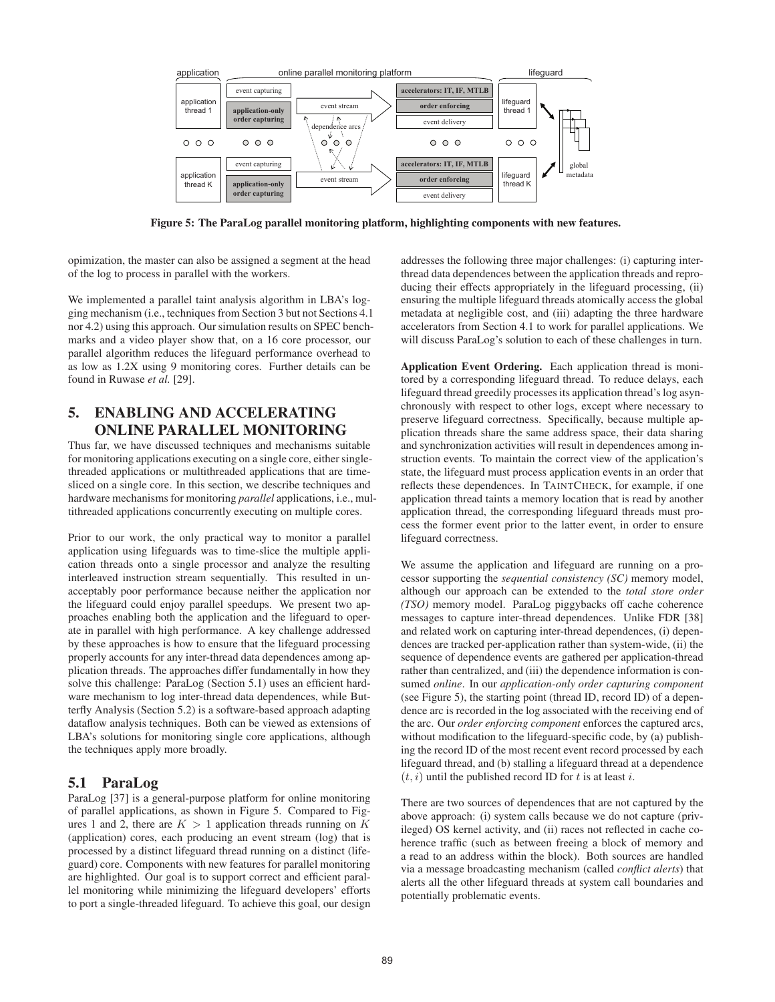

Figure 5: The ParaLog parallel monitoring platform, highlighting components with new features.

opimization, the master can also be assigned a segment at the head of the log to process in parallel with the workers.

We implemented a parallel taint analysis algorithm in LBA's logging mechanism (i.e., techniques from Section 3 but not Sections 4.1 nor 4.2) using this approach. Our simulation results on SPEC benchmarks and a video player show that, on a 16 core processor, our parallel algorithm reduces the lifeguard performance overhead to as low as 1.2X using 9 monitoring cores. Further details can be found in Ruwase *et al.* [29].

# 5. ENABLING AND ACCELERATING ONLINE PARALLEL MONITORING

Thus far, we have discussed techniques and mechanisms suitable for monitoring applications executing on a single core, either singlethreaded applications or multithreaded applications that are timesliced on a single core. In this section, we describe techniques and hardware mechanisms for monitoring *parallel* applications, i.e., multithreaded applications concurrently executing on multiple cores.

Prior to our work, the only practical way to monitor a parallel application using lifeguards was to time-slice the multiple application threads onto a single processor and analyze the resulting interleaved instruction stream sequentially. This resulted in unacceptably poor performance because neither the application nor the lifeguard could enjoy parallel speedups. We present two approaches enabling both the application and the lifeguard to operate in parallel with high performance. A key challenge addressed by these approaches is how to ensure that the lifeguard processing properly accounts for any inter-thread data dependences among application threads. The approaches differ fundamentally in how they solve this challenge: ParaLog (Section 5.1) uses an efficient hardware mechanism to log inter-thread data dependences, while Butterfly Analysis (Section 5.2) is a software-based approach adapting dataflow analysis techniques. Both can be viewed as extensions of LBA's solutions for monitoring single core applications, although the techniques apply more broadly.

### 5.1 ParaLog

ParaLog [37] is a general-purpose platform for online monitoring of parallel applications, as shown in Figure 5. Compared to Figures 1 and 2, there are  $K > 1$  application threads running on K (application) cores, each producing an event stream (log) that is processed by a distinct lifeguard thread running on a distinct (lifeguard) core. Components with new features for parallel monitoring are highlighted. Our goal is to support correct and efficient parallel monitoring while minimizing the lifeguard developers' efforts to port a single-threaded lifeguard. To achieve this goal, our design

addresses the following three major challenges: (i) capturing interthread data dependences between the application threads and reproducing their effects appropriately in the lifeguard processing, (ii) ensuring the multiple lifeguard threads atomically access the global metadata at negligible cost, and (iii) adapting the three hardware accelerators from Section 4.1 to work for parallel applications. We will discuss ParaLog's solution to each of these challenges in turn.

Application Event Ordering. Each application thread is monitored by a corresponding lifeguard thread. To reduce delays, each lifeguard thread greedily processes its application thread's log asynchronously with respect to other logs, except where necessary to preserve lifeguard correctness. Specifically, because multiple application threads share the same address space, their data sharing and synchronization activities will result in dependences among instruction events. To maintain the correct view of the application's state, the lifeguard must process application events in an order that reflects these dependences. In TAINTCHECK, for example, if one application thread taints a memory location that is read by another application thread, the corresponding lifeguard threads must process the former event prior to the latter event, in order to ensure lifeguard correctness.

We assume the application and lifeguard are running on a processor supporting the *sequential consistency (SC)* memory model, although our approach can be extended to the *total store order (TSO)* memory model. ParaLog piggybacks off cache coherence messages to capture inter-thread dependences. Unlike FDR [38] and related work on capturing inter-thread dependences, (i) dependences are tracked per-application rather than system-wide, (ii) the sequence of dependence events are gathered per application-thread rather than centralized, and (iii) the dependence information is consumed *online*. In our *application-only order capturing component* (see Figure 5), the starting point (thread ID, record ID) of a dependence arc is recorded in the log associated with the receiving end of the arc. Our *order enforcing component* enforces the captured arcs, without modification to the lifeguard-specific code, by (a) publishing the record ID of the most recent event record processed by each lifeguard thread, and (b) stalling a lifeguard thread at a dependence  $(t, i)$  until the published record ID for t is at least i.

There are two sources of dependences that are not captured by the above approach: (i) system calls because we do not capture (privileged) OS kernel activity, and (ii) races not reflected in cache coherence traffic (such as between freeing a block of memory and a read to an address within the block). Both sources are handled via a message broadcasting mechanism (called *conflict alerts*) that alerts all the other lifeguard threads at system call boundaries and potentially problematic events.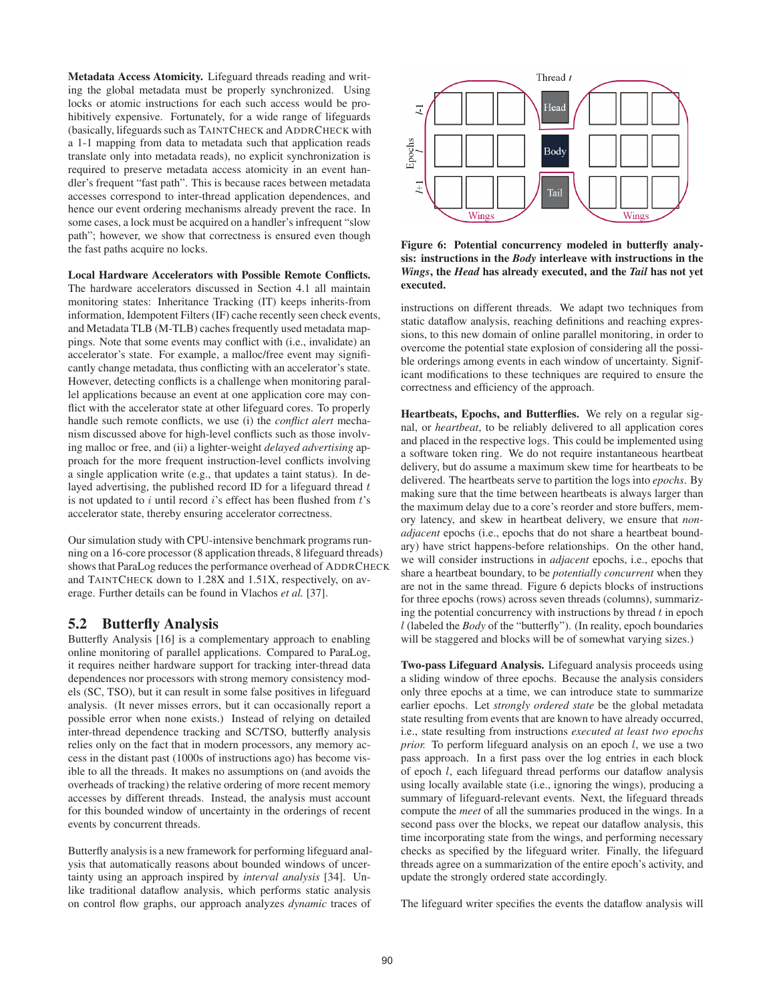Metadata Access Atomicity. Lifeguard threads reading and writing the global metadata must be properly synchronized. Using locks or atomic instructions for each such access would be prohibitively expensive. Fortunately, for a wide range of lifeguards (basically, lifeguards such as TAINTCHECK and ADDRCHECK with a 1-1 mapping from data to metadata such that application reads translate only into metadata reads), no explicit synchronization is required to preserve metadata access atomicity in an event handler's frequent "fast path". This is because races between metadata accesses correspond to inter-thread application dependences, and hence our event ordering mechanisms already prevent the race. In some cases, a lock must be acquired on a handler's infrequent "slow path"; however, we show that correctness is ensured even though the fast paths acquire no locks.

Local Hardware Accelerators with Possible Remote Conflicts.

The hardware accelerators discussed in Section 4.1 all maintain monitoring states: Inheritance Tracking (IT) keeps inherits-from information, Idempotent Filters (IF) cache recently seen check events, and Metadata TLB (M-TLB) caches frequently used metadata mappings. Note that some events may conflict with (i.e., invalidate) an accelerator's state. For example, a malloc/free event may significantly change metadata, thus conflicting with an accelerator's state. However, detecting conflicts is a challenge when monitoring parallel applications because an event at one application core may conflict with the accelerator state at other lifeguard cores. To properly handle such remote conflicts, we use (i) the *conflict alert* mechanism discussed above for high-level conflicts such as those involving malloc or free, and (ii) a lighter-weight *delayed advertising* approach for the more frequent instruction-level conflicts involving a single application write (e.g., that updates a taint status). In delayed advertising, the published record ID for a lifeguard thread  $t$ is not updated to  $i$  until record  $i$ 's effect has been flushed from  $t$ 's accelerator state, thereby ensuring accelerator correctness.

Our simulation study with CPU-intensive benchmark programs running on a 16-core processor (8 application threads, 8 lifeguard threads) shows that ParaLog reduces the performance overhead of ADDRCHECK and TAINTCHECK down to 1.28X and 1.51X, respectively, on average. Further details can be found in Vlachos *et al.* [37].

#### 5.2 Butterfly Analysis

Butterfly Analysis [16] is a complementary approach to enabling online monitoring of parallel applications. Compared to ParaLog, it requires neither hardware support for tracking inter-thread data dependences nor processors with strong memory consistency models (SC, TSO), but it can result in some false positives in lifeguard analysis. (It never misses errors, but it can occasionally report a possible error when none exists.) Instead of relying on detailed inter-thread dependence tracking and SC/TSO, butterfly analysis relies only on the fact that in modern processors, any memory access in the distant past (1000s of instructions ago) has become visible to all the threads. It makes no assumptions on (and avoids the overheads of tracking) the relative ordering of more recent memory accesses by different threads. Instead, the analysis must account for this bounded window of uncertainty in the orderings of recent events by concurrent threads.

Butterfly analysis is a new framework for performing lifeguard analysis that automatically reasons about bounded windows of uncertainty using an approach inspired by *interval analysis* [34]. Unlike traditional dataflow analysis, which performs static analysis on control flow graphs, our approach analyzes *dynamic* traces of



Figure 6: Potential concurrency modeled in butterfly analysis: instructions in the *Body* interleave with instructions in the *Wings*, the *Head* has already executed, and the *Tail* has not yet executed.

instructions on different threads. We adapt two techniques from static dataflow analysis, reaching definitions and reaching expressions, to this new domain of online parallel monitoring, in order to overcome the potential state explosion of considering all the possible orderings among events in each window of uncertainty. Significant modifications to these techniques are required to ensure the correctness and efficiency of the approach.

Heartbeats, Epochs, and Butterflies. We rely on a regular signal, or *heartbeat*, to be reliably delivered to all application cores and placed in the respective logs. This could be implemented using a software token ring. We do not require instantaneous heartbeat delivery, but do assume a maximum skew time for heartbeats to be delivered. The heartbeats serve to partition the logs into *epochs*. By making sure that the time between heartbeats is always larger than the maximum delay due to a core's reorder and store buffers, memory latency, and skew in heartbeat delivery, we ensure that *nonadjacent* epochs (i.e., epochs that do not share a heartbeat boundary) have strict happens-before relationships. On the other hand, we will consider instructions in *adjacent* epochs, i.e., epochs that share a heartbeat boundary, to be *potentially concurrent* when they are not in the same thread. Figure 6 depicts blocks of instructions for three epochs (rows) across seven threads (columns), summarizing the potential concurrency with instructions by thread  $t$  in epoch l (labeled the *Body* of the "butterfly"). (In reality, epoch boundaries will be staggered and blocks will be of somewhat varying sizes.)

Two-pass Lifeguard Analysis. Lifeguard analysis proceeds using a sliding window of three epochs. Because the analysis considers only three epochs at a time, we can introduce state to summarize earlier epochs. Let *strongly ordered state* be the global metadata state resulting from events that are known to have already occurred, i.e., state resulting from instructions *executed at least two epochs prior.* To perform lifeguard analysis on an epoch l, we use a two pass approach. In a first pass over the log entries in each block of epoch l, each lifeguard thread performs our dataflow analysis using locally available state (i.e., ignoring the wings), producing a summary of lifeguard-relevant events. Next, the lifeguard threads compute the *meet* of all the summaries produced in the wings. In a second pass over the blocks, we repeat our dataflow analysis, this time incorporating state from the wings, and performing necessary checks as specified by the lifeguard writer. Finally, the lifeguard threads agree on a summarization of the entire epoch's activity, and update the strongly ordered state accordingly.

The lifeguard writer specifies the events the dataflow analysis will